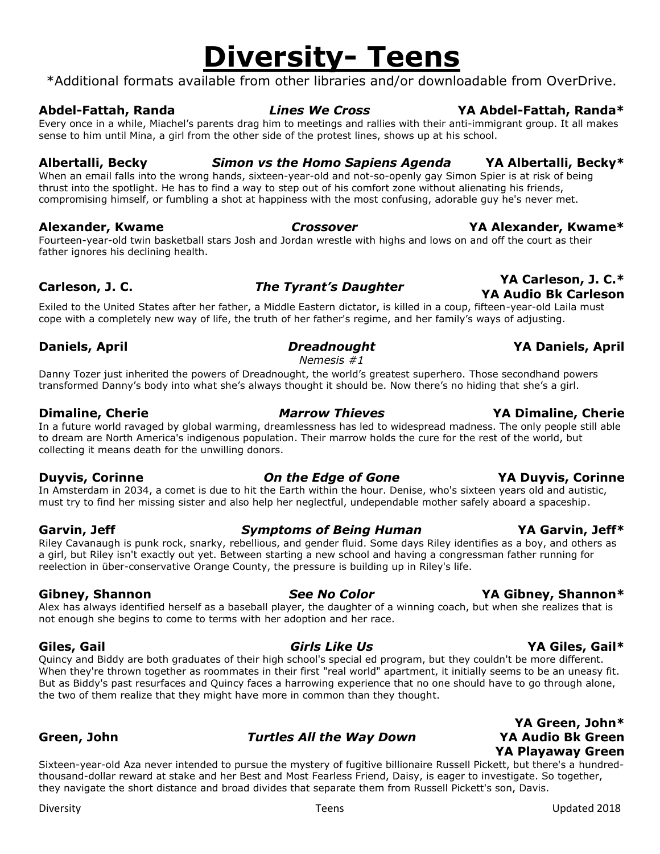# **Diversity- Teens**

\*Additional formats available from other libraries and/or downloadable from OverDrive.

### **Abdel-Fattah, Randa** *Lines We Cross* **YA Abdel-Fattah, Randa\***

Every once in a while, Miachel's parents drag him to meetings and rallies with their anti-immigrant group. It all makes sense to him until Mina, a girl from the other side of the protest lines, shows up at his school.

**Albertalli, Becky** *Simon vs the Homo Sapiens Agenda* **YA Albertalli, Becky\***

When an email falls into the wrong hands, sixteen-year-old and not-so-openly gay Simon Spier is at risk of being thrust into the spotlight. He has to find a way to step out of his comfort zone without alienating his friends, compromising himself, or fumbling a shot at happiness with the most confusing, adorable guy he's never met.

### **Alexander, Kwame** *Crossover* **YA Alexander, Kwame\***

Fourteen-year-old twin basketball stars Josh and Jordan wrestle with highs and lows on and off the court as their father ignores his declining health.

Exiled to the United States after her father, a Middle Eastern dictator, is killed in a coup, fifteen-year-old Laila must cope with a completely new way of life, the truth of her father's regime, and her family's ways of adjusting.

### *Nemesis #1*

Danny Tozer just inherited the powers of Dreadnought, the world's greatest superhero. Those secondhand powers transformed Danny's body into what she's always thought it should be. Now there's no hiding that she's a girl.

In a future world ravaged by global warming, dreamlessness has led to widespread madness. The only people still able to dream are North America's indigenous population. Their marrow holds the cure for the rest of the world, but collecting it means death for the unwilling donors.

In Amsterdam in 2034, a comet is due to hit the Earth within the hour. Denise, who's sixteen years old and autistic, must try to find her missing sister and also help her neglectful, undependable mother safely aboard a spaceship.

Riley Cavanaugh is punk rock, snarky, rebellious, and gender fluid. Some days Riley identifies as a boy, and others as a girl, but Riley isn't exactly out yet. Between starting a new school and having a congressman father running for reelection in über-conservative Orange County, the pressure is building up in Riley's life.

Alex has always identified herself as a baseball player, the daughter of a winning coach, but when she realizes that is not enough she begins to come to terms with her adoption and her race.

Quincy and Biddy are both graduates of their high school's special ed program, but they couldn't be more different. When they're thrown together as roommates in their first "real world" apartment, it initially seems to be an uneasy fit. But as Biddy's past resurfaces and Quincy faces a harrowing experience that no one should have to go through alone, the two of them realize that they might have more in common than they thought.

### **Green, John** *Turtles All the Way Down*

**YA Playaway Green** Sixteen-year-old Aza never intended to pursue the mystery of fugitive billionaire Russell Pickett, but there's a hundredthousand-dollar reward at stake and her Best and Most Fearless Friend, Daisy, is eager to investigate. So together, they navigate the short distance and broad divides that separate them from Russell Pickett's son, Davis.

## **Dimaline, Cherie** *Marrow Thieves* **YA Dimaline, Cherie**

### **Garvin, Jeff** *Symptoms of Being Human* **YA Garvin, Jeff\***

## **Gibney, Shannon** *See No Color* **YA Gibney, Shannon\***

### **Giles, Gail** *Girls Like Us* **YA Giles, Gail\***

**YA Green, John\* YA Audio Bk Green**

### **Carleson, J. C.** *The Tyrant's Daughter* **YA Carleson, J. C.\* YA Audio Bk Carleson**

## **Duyvis, Corinne** *On the Edge of Gone* **YA Duyvis, Corinne**

## **Daniels, April** *Dreadnought* **YA Daniels, April**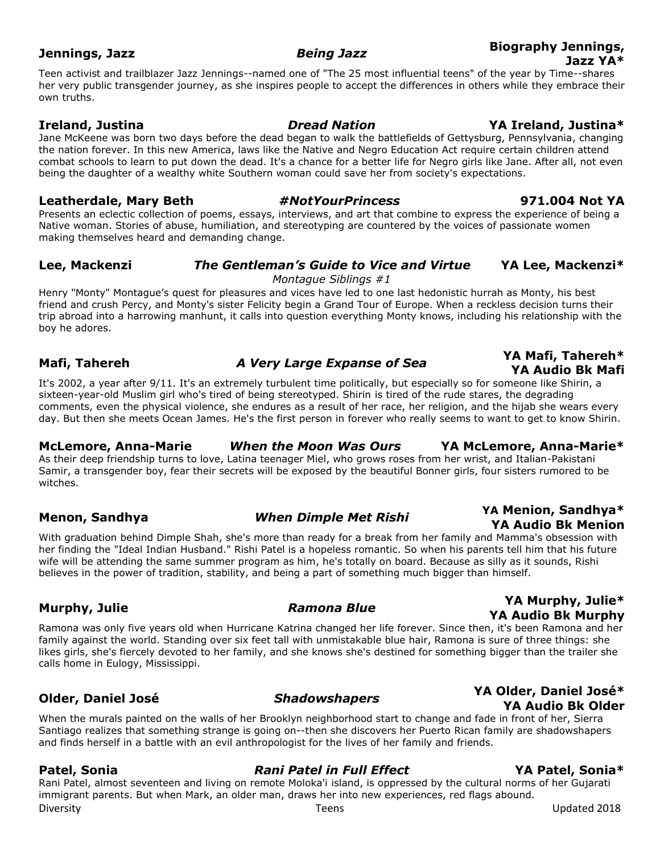Teen activist and trailblazer Jazz Jennings--named one of "The 25 most influential teens" of the year by Time--shares her very public transgender journey, as she inspires people to accept the differences in others while they embrace their own truths.

### **Ireland, Justina** *Dread Nation* **YA Ireland, Justina\***

Jane McKeene was born two days before the dead began to walk the battlefields of Gettysburg, Pennsylvania, changing the nation forever. In this new America, laws like the Native and Negro Education Act require certain children attend combat schools to learn to put down the dead. It's a chance for a better life for Negro girls like Jane. After all, not even being the daughter of a wealthy white Southern woman could save her from society's expectations.

### **[Leatherdale, Mary Beth](about:blank)** *#NotYourPrincess* **971.004 Not YA**

Presents an eclectic collection of poems, essays, interviews, and art that combine to express the experience of being a Native woman. Stories of abuse, humiliation, and stereotyping are countered by the voices of passionate women making themselves heard and demanding change.

### **Lee, Mackenzi** *The Gentleman's Guide to Vice and Virtue* **YA Lee, Mackenzi\***

### *Montague Siblings #1*

Henry "Monty" Montague's quest for pleasures and vices have led to one last hedonistic hurrah as Monty, his best friend and crush Percy, and Monty's sister Felicity begin a Grand Tour of Europe. When a reckless decision turns their trip abroad into a harrowing manhunt, it calls into question everything Monty knows, including his relationship with the boy he adores.

## **Mafi, Tahereh** *A Very Large Expanse of Sea* **YA Mafi, Tahereh\***

It's 2002, a year after 9/11. It's an extremely turbulent time politically, but especially so for someone like Shirin, a sixteen-year-old Muslim girl who's tired of being stereotyped. Shirin is tired of the rude stares, the degrading comments, even the physical violence, she endures as a result of her race, her religion, and the hijab she wears every day. But then she meets Ocean James. He's the first person in forever who really seems to want to get to know Shirin.

### **McLemore, Anna-Marie** *When the Moon Was Ours* **YA McLemore, Anna-Marie\***

As their deep friendship turns to love, Latina teenager Miel, who grows roses from her wrist, and Italian-Pakistani Samir, a transgender boy, fear their secrets will be exposed by the beautiful Bonner girls, four sisters rumored to be witches.

With graduation behind Dimple Shah, she's more than ready for a break from her family and Mamma's obsession with her finding the "Ideal Indian Husband." Rishi Patel is a hopeless romantic. So when his parents tell him that his future wife will be attending the same summer program as him, he's totally on board. Because as silly as it sounds, Rishi believes in the power of tradition, stability, and being a part of something much bigger than himself.

## **Murphy, Julie** *Ramona Blue* **YA Murphy, Julie\***

Ramona was only five years old when Hurricane Katrina changed her life forever. Since then, it's been Ramona and her family against the world. Standing over six feet tall with unmistakable blue hair, Ramona is sure of three things: she likes girls, she's fiercely devoted to her family, and she knows she's destined for something bigger than the trailer she calls home in Eulogy, Mississippi.

### When the murals painted on the walls of her Brooklyn neighborhood start to change and fade in front of her, Sierra Santiago realizes that something strange is going on--then she discovers her Puerto Rican family are shadowshapers and finds herself in a battle with an evil anthropologist for the lives of her family and friends.

### **Patel, Sonia** *Rani Patel in Full Effect* **YA Patel, Sonia\***

Rani Patel, almost seventeen and living on remote Moloka'i island, is oppressed by the cultural norms of her Gujarati immigrant parents. But when Mark, an older man, draws her into new experiences, red flags abound.

### **Jennings, Jazz** *Being Jazz* **Biography Jennings, Jazz YA\***

**YA Audio Bk Mafi**

### **Menon, Sandhya** *When Dimple Met Rishi* **YA Menion, Sandhya\* YA Audio Bk Menion**

### **Older, Daniel José** *Shadowshapers* **YA Older, Daniel José\* YA Audio Bk Older**

**YA Audio Bk Murphy**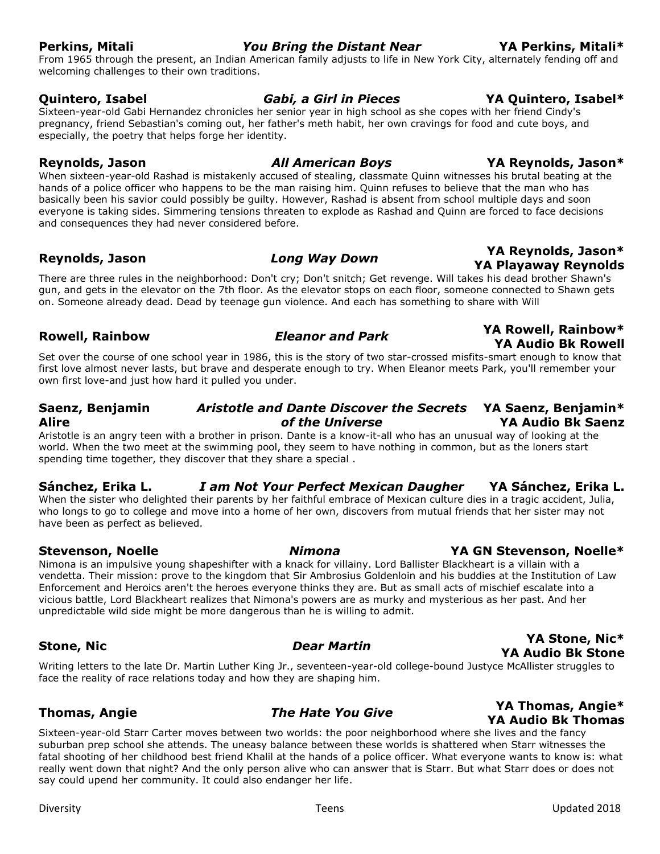### **Perkins, Mitali** *You Bring the Distant Near* **YA Perkins, Mitali\***

## welcoming challenges to their own traditions.

**Quintero, Isabel** *Gabi, a Girl in Pieces* **YA Quintero, Isabel\*** Sixteen-year-old Gabi Hernandez chronicles her senior year in high school as she copes with her friend Cindy's pregnancy, friend Sebastian's coming out, her father's meth habit, her own cravings for food and cute boys, and especially, the poetry that helps forge her identity.

**Reynolds, Jason** *All American Boys* **YA Reynolds, Jason\***

When sixteen-year-old Rashad is mistakenly accused of stealing, classmate Quinn witnesses his brutal beating at the hands of a police officer who happens to be the man raising him. Quinn refuses to believe that the man who has basically been his savior could possibly be guilty. However, Rashad is absent from school multiple days and soon everyone is taking sides. Simmering tensions threaten to explode as Rashad and Quinn are forced to face decisions and consequences they had never considered before.

## **Reynolds, Jason** *Long Way Down* **YA Reynolds, Jason\***

There are three rules in the neighborhood: Don't cry; Don't snitch; Get revenge. Will takes his dead brother Shawn's gun, and gets in the elevator on the 7th floor. As the elevator stops on each floor, someone connected to Shawn gets on. Someone already dead. Dead by teenage gun violence. And each has something to share with Will

## **Rowell, Rainbow** *Eleanor and Park* **YA Rowell, Rainbow\***

Set over the course of one school year in 1986, this is the story of two star-crossed misfits-smart enough to know that first love almost never lasts, but brave and desperate enough to try. When Eleanor meets Park, you'll remember your own first love-and just how hard it pulled you under.

### **Saenz, Benjamin Alire** *Aristotle and Dante Discover the Secrets*  **YA Saenz, Benjamin\*** *of the Universe* **YA Audio Bk Saenz**

Aristotle is an angry teen with a brother in prison. Dante is a know-it-all who has an unusual way of looking at the world. When the two meet at the swimming pool, they seem to have nothing in common, but as the loners start spending time together, they discover that they share a special .

### **Sánchez, Erika L.** *I am Not Your Perfect Mexican Daugher* **YA Sánchez, Erika L.**

When the sister who delighted their parents by her faithful embrace of Mexican culture dies in a tragic accident, Julia, who longs to go to college and move into a home of her own, discovers from mutual friends that her sister may not have been as perfect as believed.

Nimona is an impulsive young shapeshifter with a knack for villainy. Lord Ballister Blackheart is a villain with a vendetta. Their mission: prove to the kingdom that Sir Ambrosius Goldenloin and his buddies at the Institution of Law Enforcement and Heroics aren't the heroes everyone thinks they are. But as small acts of mischief escalate into a vicious battle, Lord Blackheart realizes that Nimona's powers are as murky and mysterious as her past. And her unpredictable wild side might be more dangerous than he is willing to admit.

## **Stone, Nic** *Dear Martin* **YA Stone, Nic\***

**YA Audio Bk Stone** Writing letters to the late Dr. Martin Luther King Jr., seventeen-year-old college-bound Justyce McAllister struggles to face the reality of race relations today and how they are shaping him.

Sixteen-year-old Starr Carter moves between two worlds: the poor neighborhood where she lives and the fancy suburban prep school she attends. The uneasy balance between these worlds is shattered when Starr witnesses the fatal shooting of her childhood best friend Khalil at the hands of a police officer. What everyone wants to know is: what really went down that night? And the only person alive who can answer that is Starr. But what Starr does or does not say could upend her community. It could also endanger her life.

### From 1965 through the present, an Indian American family adjusts to life in New York City, alternately fending off and

**YA Audio Bk Rowell**

**YA Playaway Reynolds**

## **Stevenson, Noelle** *Nimona* **YA GN Stevenson, Noelle\***

### **Thomas, Angie** *The Hate You Give* **YA Thomas, Angie\* YA Audio Bk Thomas**